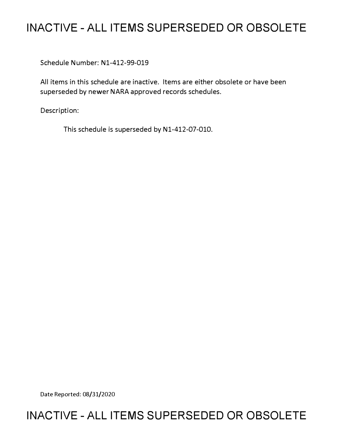# **INACTIVE - ALL ITEMS SUPERSEDED OR OBSOLETE**

Schedule Number: Nl-412-99-019

All items in this schedule are inactive. Items are either obsolete or have been superseded by newer NARA approved records schedules.

Description:

This schedule is superseded by N1-412-07-010.

Date Reported: 08/31/2020

## **INACTIVE - ALL ITEMS SUPERSEDED OR OBSOLETE**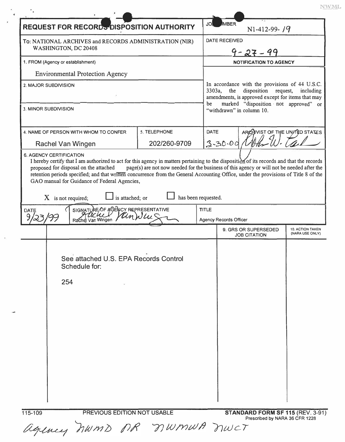$\ensuremath{\text{NWML}}$ 

| <b>REQUEST FOR RECORDS DISPOSITION AUTHORITY</b>                                                                                                                                                                                                                                                                                                                           |                     | JO           | <b>MBER</b><br>$N1-412-99 - 79$                                                                                                                                                                                                      |                                            |
|----------------------------------------------------------------------------------------------------------------------------------------------------------------------------------------------------------------------------------------------------------------------------------------------------------------------------------------------------------------------------|---------------------|--------------|--------------------------------------------------------------------------------------------------------------------------------------------------------------------------------------------------------------------------------------|--------------------------------------------|
| To: NATIONAL ARCHIVES and RECORDS ADMINISTRATION (NIR)<br>WASHINGTON, DC 20408                                                                                                                                                                                                                                                                                             |                     |              | <b>DATE RECEIVED</b>                                                                                                                                                                                                                 |                                            |
|                                                                                                                                                                                                                                                                                                                                                                            |                     |              | $9 - 27 - 99$                                                                                                                                                                                                                        |                                            |
| 1. FROM (Agency or establishment)                                                                                                                                                                                                                                                                                                                                          |                     |              | <b>NOTIFICATION TO AGENCY</b>                                                                                                                                                                                                        |                                            |
| <b>Environmental Protection Agency</b>                                                                                                                                                                                                                                                                                                                                     |                     |              |                                                                                                                                                                                                                                      |                                            |
| 2. MAJOR SUBDIVISION                                                                                                                                                                                                                                                                                                                                                       |                     |              | In accordance with the provisions of 44 U.S.C.<br>3303a,<br>the<br>disposition request,<br>including<br>amendments, is approved except for items that may<br>marked "disposition not approved" or<br>be<br>"withdrawn" in column 10. |                                            |
| 3. MINOR SUBDIVISION                                                                                                                                                                                                                                                                                                                                                       |                     |              |                                                                                                                                                                                                                                      |                                            |
| 4. NAME OF PERSON WITH WHOM TO CONFER                                                                                                                                                                                                                                                                                                                                      | 5. TELEPHONE        | <b>DATE</b>  | ARCHIVIST OF THE UNITED STATES                                                                                                                                                                                                       |                                            |
| 202/260-9709<br>Rachel Van Wingen<br><b>6. AGENCY CERTIFICATION</b>                                                                                                                                                                                                                                                                                                        |                     |              | $3 - 30 - 00$                                                                                                                                                                                                                        |                                            |
| I hereby certify that I am authorized to act for this agency in matters pertaining to the disposition of its records and that the records<br>proposed for disposal on the attached<br>retention periods specified; and that written concurrence from the General Accounting Office, under the provisions of Title 8 of the<br>GAO manual for Guidance of Federal Agencies, |                     |              | page(s) are not now needed for the business of this agency or will not be needed after the                                                                                                                                           |                                            |
| is attached; or<br>$X$ is not required;                                                                                                                                                                                                                                                                                                                                    | has been requested. |              |                                                                                                                                                                                                                                      |                                            |
| SIGNATURE OF AGENCY REPRESENTATIVE<br>DATE<br>Rachdl Van Wingen                                                                                                                                                                                                                                                                                                            |                     | <b>TITLE</b> | <b>Agency Records Officer</b>                                                                                                                                                                                                        |                                            |
|                                                                                                                                                                                                                                                                                                                                                                            |                     |              | 9. GRS OR SUPERSEDED<br><b>JOB CITATION</b>                                                                                                                                                                                          | <b>10. ACTION TAKEN</b><br>(NARA USE ONLY) |
| See attached U.S. EPA Records Control<br>Schedule for:<br>254                                                                                                                                                                                                                                                                                                              |                     |              |                                                                                                                                                                                                                                      |                                            |
|                                                                                                                                                                                                                                                                                                                                                                            |                     |              |                                                                                                                                                                                                                                      |                                            |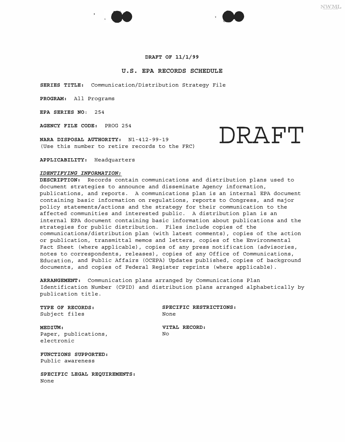



#### **DRAFT OF 11/1/99**

#### **U.S. EPA RECORDS SCHEDULE**

**SERIES TITLE:** Communication/Distribution Strategy File

**PROGRAM:** All Programs

**EPA SERIES NO:** 254

**AGENCY FILE CODE:** PROG 254

**NARA DISPOSAL AUTHORITY:**  Nl-412-99-19 (Use this number to retire records to the FRC)

**APPLICABILITY:** Headquarters

#### *IDENTIFYING INFORMATION:*

**DESCRIPTION:** Records contain communications and distribution plans used to document strategies to announce and disseminate Agency information, publications, and reports. A communications plan is an internal EPA document containing basic information on regulations, reports to Congress, and major policy statements/actions and the strategy for their communication to the affected communities and interested public. A distribution plan is an internal EPA document containing basic information about publications and the strategies for public distribution. Files include copies of the communications/distribution plan (with latest comments), copies of the action or publication, transmittal memos and letters, copies of the Environmental Fact Sheet (where applicable), copies of any press notification (advisories, notes to correspondents, releases), copies of any Office of Communications, Education, and Public Affairs (OCEPA) Updates published, copies of background documents, and copies of Federal Register reprints (where applicable).

**ARRANGEMENT:** Communication plans arranged by Communications Plan Identification Number (CPID) and distribution plans arranged alphabetically by publication title.

Subject files

**TYPE OF RECORDS:** SPECIFIC RESTRICTIONS:<br>Subject files<br>**Subject** files

**MEDIUM: VITAL RECORD:**  Paper, publications, electronic

**FUNCTIONS SUPPORTED:**  Public awareness

**SPECIFIC LEGAL REQUIREMENTS:**  None

**NWML** 

**DRAFT**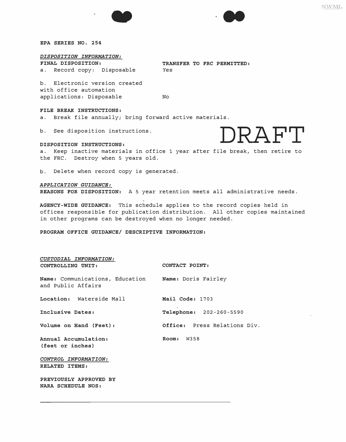



*EPA SERIES NO. 254* 

### *DISPOSITION INFORMATION:*

a. Record copy: Disposable Yes

*FINAL DISPOSITION: TRANSFER TO FRC PERMITTED:* 

b. Electronic version created with office automation applications: Disposable No

#### *FILE BREAK INSTRUCTIONS:*

a. Break file annually; bring forward active materials.

b. See disposition instructions.



**DISPOSITION INSTRUCTIONS: DISPOSITION INSTRUCTIONS:**<br>a. Keep inactive materials in office 1 year after file break, then retire to the FRC. Destroy when 5 years old.

b. Delete when record copy is generated.

### *APPLICATION GUIDANCE:*

*REASONS FOR DISPOSITION:* A 5 year retention meets all administrative needs.

*AGENCY-WIDE GUIDANCE:* This schedule applies to the record copies held in offices responsible for publication distribution. All other copies maintained in other programs can be destroyed when no longer needed.

*PROGRAM OFFICE GUIDANCE/ DESCRIPTIVE INFORMATION:* 

| CUSTODIAL INFORMATION:                                                    |                              |
|---------------------------------------------------------------------------|------------------------------|
| CONTROLLING UNIT:                                                         | CONTACT POINT:               |
| Name: Communications, Education Mame: Doris Fairley<br>and Public Affairs |                              |
| Location: Waterside Mall                                                  | Mail Code: 1703              |
| Inclusive Dates:                                                          | Telephone: 202-260-5590      |
| Volume on Hand (Feet):                                                    | Office: Press Relations Div. |
| Annual Accumulation:<br>(feet or inches)                                  | Room: W358                   |
| CONTROL INFORMATION:<br>RELATED ITEMS:                                    |                              |
| PREVIOUSLY APPROVED BY<br>NARA SCHEDULE NOS:                              |                              |

NWML